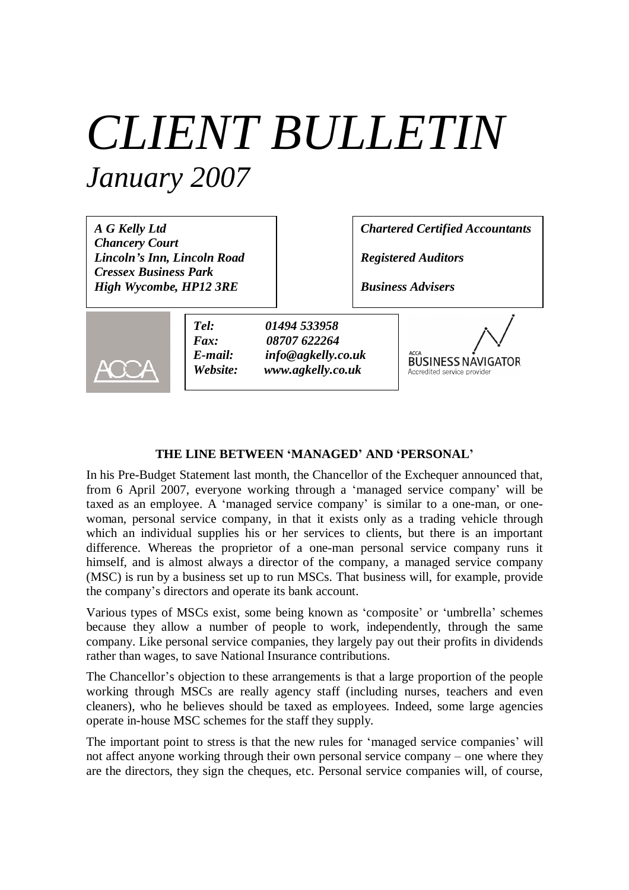## *CLIENT BULLETIN January 2007*

*A G Kelly Ltd Chancery Court Lincoln's Inn, Lincoln Road Cressex Business Park High Wycombe, HP12 3RE*

*Chartered Certified Accountants*

*Registered Auditors*

*Business Advisers*



*Tel: 01494 533958 Fax: 08707 622264 E-mail: info@agkelly.co.uk Website: www.agkelly.co.uk*



## **THE LINE BETWEEN 'MANAGED' AND 'PERSONAL'**

In his Pre-Budget Statement last month, the Chancellor of the Exchequer announced that, from 6 April 2007, everyone working through a 'managed service company' will be taxed as an employee. A 'managed service company' is similar to a one-man, or onewoman, personal service company, in that it exists only as a trading vehicle through which an individual supplies his or her services to clients, but there is an important difference. Whereas the proprietor of a one-man personal service company runs it himself, and is almost always a director of the company, a managed service company (MSC) is run by a business set up to run MSCs. That business will, for example, provide the company's directors and operate its bank account.

Various types of MSCs exist, some being known as 'composite' or 'umbrella' schemes because they allow a number of people to work, independently, through the same company. Like personal service companies, they largely pay out their profits in dividends rather than wages, to save National Insurance contributions.

The Chancellor's objection to these arrangements is that a large proportion of the people working through MSCs are really agency staff (including nurses, teachers and even cleaners), who he believes should be taxed as employees. Indeed, some large agencies operate in-house MSC schemes for the staff they supply.

The important point to stress is that the new rules for 'managed service companies' will not affect anyone working through their own personal service company – one where they are the directors, they sign the cheques, etc. Personal service companies will, of course,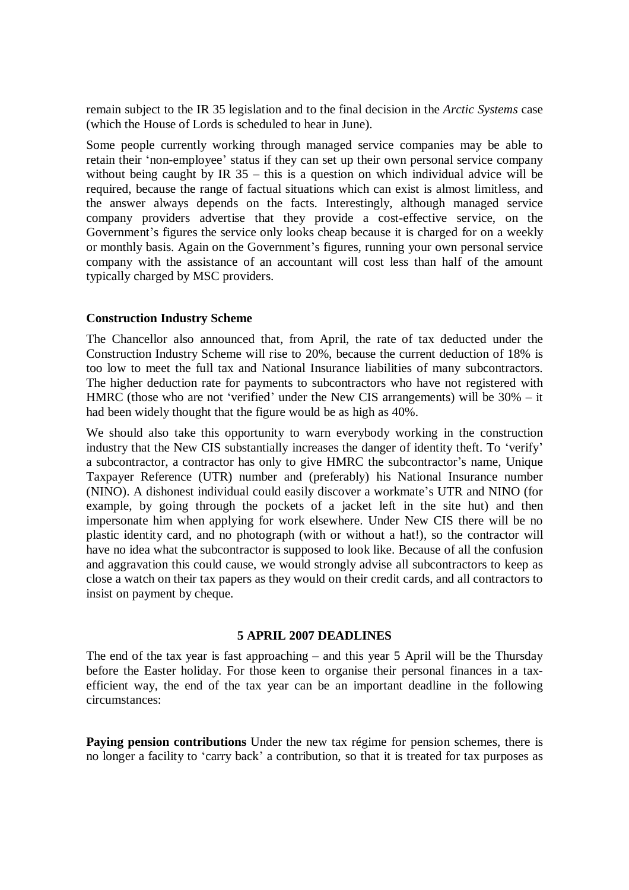remain subject to the IR 35 legislation and to the final decision in the *Arctic Systems* case (which the House of Lords is scheduled to hear in June).

Some people currently working through managed service companies may be able to retain their 'non-employee' status if they can set up their own personal service company without being caught by IR 35 – this is a question on which individual advice will be required, because the range of factual situations which can exist is almost limitless, and the answer always depends on the facts. Interestingly, although managed service company providers advertise that they provide a cost-effective service, on the Government's figures the service only looks cheap because it is charged for on a weekly or monthly basis. Again on the Government's figures, running your own personal service company with the assistance of an accountant will cost less than half of the amount typically charged by MSC providers.

## **Construction Industry Scheme**

The Chancellor also announced that, from April, the rate of tax deducted under the Construction Industry Scheme will rise to 20%, because the current deduction of 18% is too low to meet the full tax and National Insurance liabilities of many subcontractors. The higher deduction rate for payments to subcontractors who have not registered with HMRC (those who are not 'verified' under the New CIS arrangements) will be 30% – it had been widely thought that the figure would be as high as 40%.

We should also take this opportunity to warn everybody working in the construction industry that the New CIS substantially increases the danger of identity theft. To 'verify' a subcontractor, a contractor has only to give HMRC the subcontractor's name, Unique Taxpayer Reference (UTR) number and (preferably) his National Insurance number (NINO). A dishonest individual could easily discover a workmate's UTR and NINO (for example, by going through the pockets of a jacket left in the site hut) and then impersonate him when applying for work elsewhere. Under New CIS there will be no plastic identity card, and no photograph (with or without a hat!), so the contractor will have no idea what the subcontractor is supposed to look like. Because of all the confusion and aggravation this could cause, we would strongly advise all subcontractors to keep as close a watch on their tax papers as they would on their credit cards, and all contractors to insist on payment by cheque.

## **5 APRIL 2007 DEADLINES**

The end of the tax year is fast approaching – and this year 5 April will be the Thursday before the Easter holiday. For those keen to organise their personal finances in a taxefficient way, the end of the tax year can be an important deadline in the following circumstances:

**Paying pension contributions** Under the new tax régime for pension schemes, there is no longer a facility to 'carry back' a contribution, so that it is treated for tax purposes as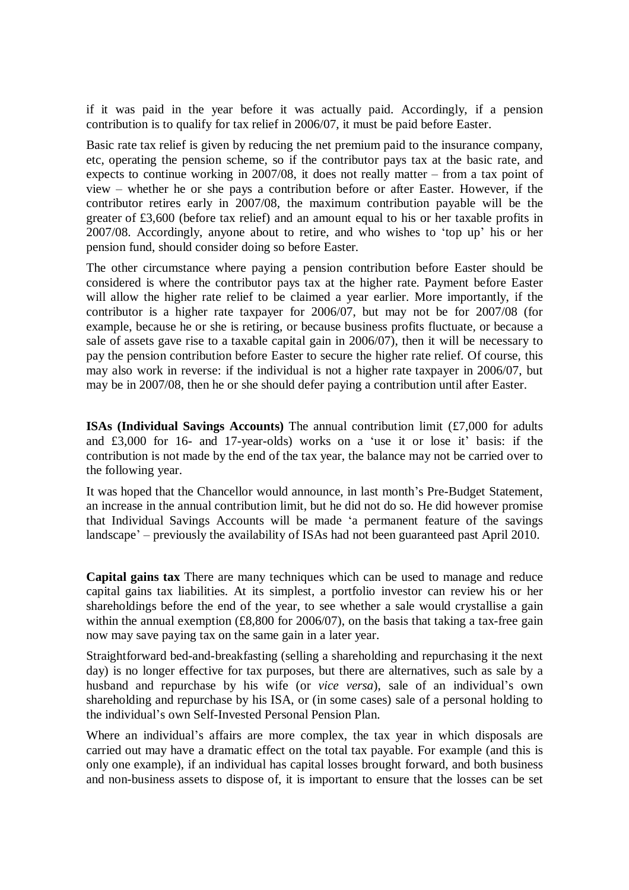if it was paid in the year before it was actually paid. Accordingly, if a pension contribution is to qualify for tax relief in 2006/07, it must be paid before Easter.

Basic rate tax relief is given by reducing the net premium paid to the insurance company, etc, operating the pension scheme, so if the contributor pays tax at the basic rate, and expects to continue working in 2007/08, it does not really matter – from a tax point of view – whether he or she pays a contribution before or after Easter. However, if the contributor retires early in 2007/08, the maximum contribution payable will be the greater of £3,600 (before tax relief) and an amount equal to his or her taxable profits in 2007/08. Accordingly, anyone about to retire, and who wishes to 'top up' his or her pension fund, should consider doing so before Easter.

The other circumstance where paying a pension contribution before Easter should be considered is where the contributor pays tax at the higher rate. Payment before Easter will allow the higher rate relief to be claimed a year earlier. More importantly, if the contributor is a higher rate taxpayer for 2006/07, but may not be for 2007/08 (for example, because he or she is retiring, or because business profits fluctuate, or because a sale of assets gave rise to a taxable capital gain in 2006/07), then it will be necessary to pay the pension contribution before Easter to secure the higher rate relief. Of course, this may also work in reverse: if the individual is not a higher rate taxpayer in 2006/07, but may be in 2007/08, then he or she should defer paying a contribution until after Easter.

**ISAs (Individual Savings Accounts)** The annual contribution limit (£7,000 for adults and £3,000 for 16- and 17-year-olds) works on a 'use it or lose it' basis: if the contribution is not made by the end of the tax year, the balance may not be carried over to the following year.

It was hoped that the Chancellor would announce, in last month's Pre-Budget Statement, an increase in the annual contribution limit, but he did not do so. He did however promise that Individual Savings Accounts will be made 'a permanent feature of the savings landscape'– previously the availability of ISAs had not been guaranteed past April 2010.

**Capital gains tax** There are many techniques which can be used to manage and reduce capital gains tax liabilities. At its simplest, a portfolio investor can review his or her shareholdings before the end of the year, to see whether a sale would crystallise a gain within the annual exemption  $(\text{\pounds}8,800)$  for 2006/07), on the basis that taking a tax-free gain now may save paying tax on the same gain in a later year.

Straightforward bed-and-breakfasting (selling a shareholding and repurchasing it the next day) is no longer effective for tax purposes, but there are alternatives, such as sale by a husband and repurchase by his wife (or *vice versa*), sale of an individual's own shareholding and repurchase by his ISA, or (in some cases) sale of a personal holding to the individual's own Self-Invested Personal Pension Plan.

Where an individual's affairs are more complex, the tax year in which disposals are carried out may have a dramatic effect on the total tax payable. For example (and this is only one example), if an individual has capital losses brought forward, and both business and non-business assets to dispose of, it is important to ensure that the losses can be set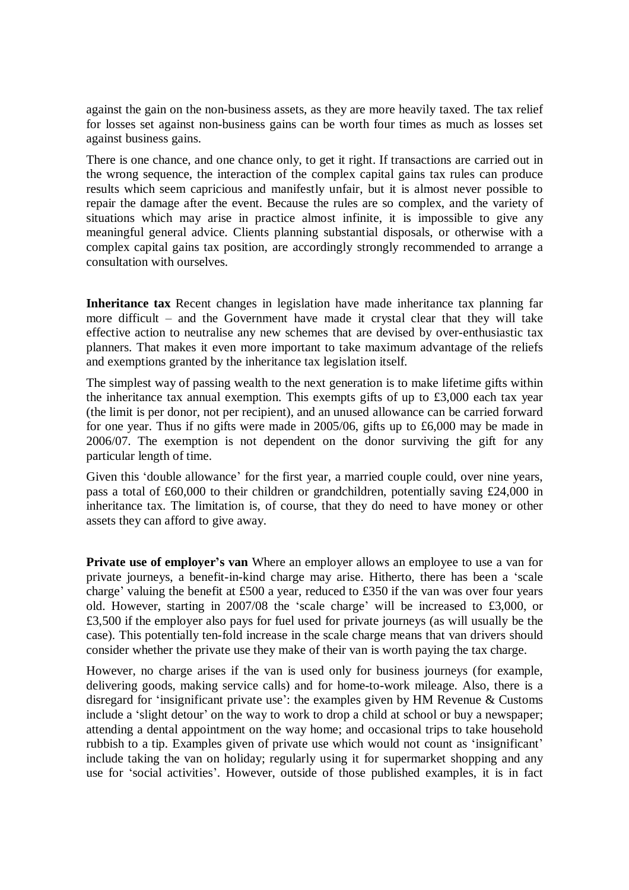against the gain on the non-business assets, as they are more heavily taxed. The tax relief for losses set against non-business gains can be worth four times as much as losses set against business gains.

There is one chance, and one chance only, to get it right. If transactions are carried out in the wrong sequence, the interaction of the complex capital gains tax rules can produce results which seem capricious and manifestly unfair, but it is almost never possible to repair the damage after the event. Because the rules are so complex, and the variety of situations which may arise in practice almost infinite, it is impossible to give any meaningful general advice. Clients planning substantial disposals, or otherwise with a complex capital gains tax position, are accordingly strongly recommended to arrange a consultation with ourselves.

**Inheritance tax** Recent changes in legislation have made inheritance tax planning far more difficult – and the Government have made it crystal clear that they will take effective action to neutralise any new schemes that are devised by over-enthusiastic tax planners. That makes it even more important to take maximum advantage of the reliefs and exemptions granted by the inheritance tax legislation itself.

The simplest way of passing wealth to the next generation is to make lifetime gifts within the inheritance tax annual exemption. This exempts gifts of up to £3,000 each tax year (the limit is per donor, not per recipient), and an unused allowance can be carried forward for one year. Thus if no gifts were made in 2005/06, gifts up to £6,000 may be made in 2006/07. The exemption is not dependent on the donor surviving the gift for any particular length of time.

Given this 'double allowance' for the first year, a married couple could, over nine years, pass a total of £60,000 to their children or grandchildren, potentially saving £24,000 in inheritance tax. The limitation is, of course, that they do need to have money or other assets they can afford to give away.

**Private use of employer's van** Where an employer allows an employee to use a van for private journeys, a benefit-in-kind charge may arise. Hitherto, there has been a 'scale charge' valuing the benefit at £500 a year, reduced to £350 if the van was over four years old. However, starting in 2007/08 the 'scale charge' will be increased to £3,000, or £3,500 if the employer also pays for fuel used for private journeys (as will usually be the case). This potentially ten-fold increase in the scale charge means that van drivers should consider whether the private use they make of their van is worth paying the tax charge.

However, no charge arises if the van is used only for business journeys (for example, delivering goods, making service calls) and for home-to-work mileage. Also, there is a disregard for 'insignificant private use': the examples given by HM Revenue & Customs include a 'slight detour' on the way to work to drop a child at school or buy a newspaper; attending a dental appointment on the way home; and occasional trips to take household rubbish to a tip. Examples given of private use which would not count as 'insignificant' include taking the van on holiday; regularly using it for supermarket shopping and any use for 'social activities'. However, outside of those published examples, it is in fact